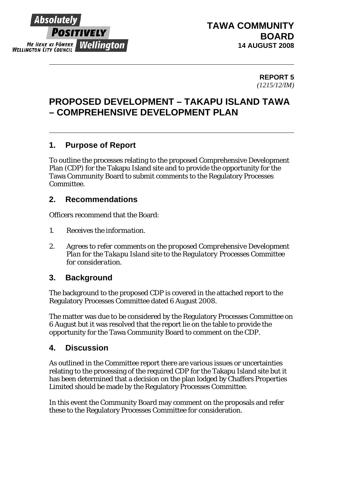

### **TAWA COMMUNITY BOARD 14 AUGUST 2008**

#### **REPORT 5**  *(1215/12/IM)*

### **PROPOSED DEVELOPMENT – TAKAPU ISLAND TAWA – COMPREHENSIVE DEVELOPMENT PLAN**

#### **1. Purpose of Report**

To outline the processes relating to the proposed Comprehensive Development Plan (CDP) for the Takapu Island site and to provide the opportunity for the Tawa Community Board to submit comments to the Regulatory Processes Committee.

#### **2. Recommendations**

Officers recommend that the Board:

- *1. Receives the information.*
- *2. Agrees to refer comments on the proposed Comprehensive Development Plan for the Takapu Island site to the Regulatory Processes Committee for consideration.*

#### **3. Background**

The background to the proposed CDP is covered in the attached report to the Regulatory Processes Committee dated 6 August 2008.

The matter was due to be considered by the Regulatory Processes Committee on 6 August but it was resolved that the report lie on the table to provide the opportunity for the Tawa Community Board to comment on the CDP.

#### **4. Discussion**

As outlined in the Committee report there are various issues or uncertainties relating to the processing of the required CDP for the Takapu Island site but it has been determined that a decision on the plan lodged by Chaffers Properties Limited should be made by the Regulatory Processes Committee.

In this event the Community Board may comment on the proposals and refer these to the Regulatory Processes Committee for consideration.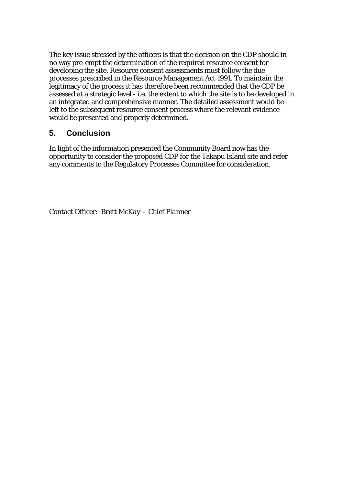The key issue stressed by the officers is that the decision on the CDP should in no way pre-empt the determination of the required resource consent for developing the site. Resource consent assessments must follow the due processes prescribed in the Resource Management Act 1991. To maintain the legitimacy of the process it has therefore been recommended that the CDP be assessed at a strategic level - i.e. the extent to which the site is to be developed in an integrated and comprehensive manner. The detailed assessment would be left to the subsequent resource consent process where the relevant evidence would be presented and properly determined.

#### **5. Conclusion**

In light of the information presented the Community Board now has the opportunity to consider the proposed CDP for the Takapu Island site and refer any comments to the Regulatory Processes Committee for consideration.

Contact Officer: *Brett McKay – Chief Planner*